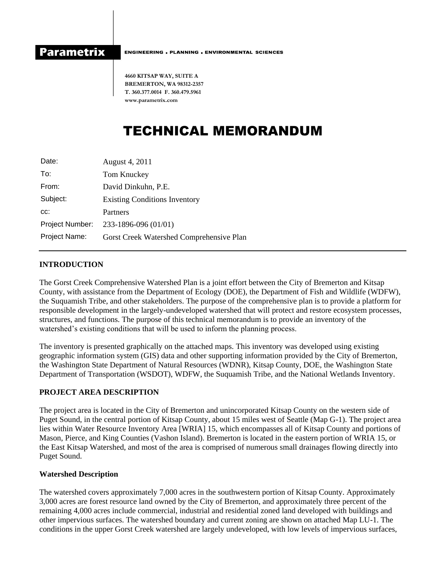**Parametrix** 

ENGINEERING , PLANNING , ENVIRONMENTAL SCIENCES

**4660 KITSAP WAY, SUITE A BREMERTON, WA 98312-2357 T. 360.377.0014 F. 360.479.5961 www.parametrix.com**

# TECHNICAL MEMORANDUM

| Date:           | August 4, 2011                           |
|-----------------|------------------------------------------|
| To:             | Tom Knuckey                              |
| From:           | David Dinkuhn, P.E.                      |
| Subject:        | <b>Existing Conditions Inventory</b>     |
| CC.             | Partners                                 |
| Project Number: | 233-1896-096 (01/01)                     |
| Project Name:   | Gorst Creek Watershed Comprehensive Plan |
|                 |                                          |

## **INTRODUCTION**

The Gorst Creek Comprehensive Watershed Plan is a joint effort between the City of Bremerton and Kitsap County, with assistance from the Department of Ecology (DOE), the Department of Fish and Wildlife (WDFW), the Suquamish Tribe, and other stakeholders. The purpose of the comprehensive plan is to provide a platform for responsible development in the largely-undeveloped watershed that will protect and restore ecosystem processes, structures, and functions. The purpose of this technical memorandum is to provide an inventory of the watershed's existing conditions that will be used to inform the planning process.

The inventory is presented graphically on the attached maps. This inventory was developed using existing geographic information system (GIS) data and other supporting information provided by the City of Bremerton, the Washington State Department of Natural Resources (WDNR), Kitsap County, DOE, the Washington State Department of Transportation (WSDOT), WDFW, the Suquamish Tribe, and the National Wetlands Inventory.

## **PROJECT AREA DESCRIPTION**

The project area is located in the City of Bremerton and unincorporated Kitsap County on the western side of Puget Sound, in the central portion of Kitsap County, about 15 miles west of Seattle (Map G-1). The project area lies within Water Resource Inventory Area [WRIA] 15, which encompasses all of Kitsap County and portions of Mason, Pierce, and King Counties (Vashon Island). Bremerton is located in the eastern portion of WRIA 15, or the East Kitsap Watershed, and most of the area is comprised of numerous small drainages flowing directly into Puget Sound.

### **Watershed Description**

The watershed covers approximately 7,000 acres in the southwestern portion of Kitsap County. Approximately 3,000 acres are forest resource land owned by the City of Bremerton, and approximately three percent of the remaining 4,000 acres include commercial, industrial and residential zoned land developed with buildings and other impervious surfaces. The watershed boundary and current zoning are shown on attached Map LU-1. The conditions in the upper Gorst Creek watershed are largely undeveloped, with low levels of impervious surfaces,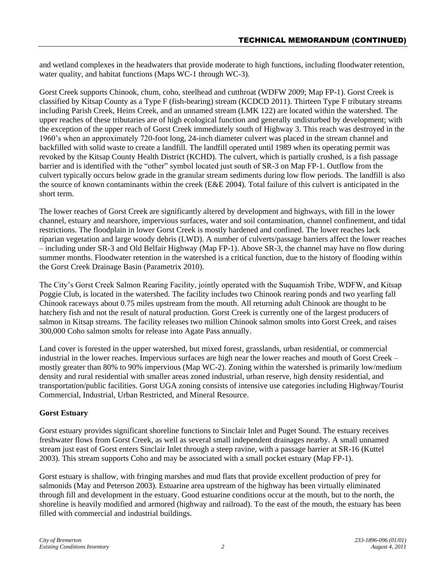and wetland complexes in the headwaters that provide moderate to high functions, including floodwater retention, water quality, and habitat functions (Maps WC-1 through WC-3).

Gorst Creek supports Chinook, chum, coho, steelhead and cutthroat (WDFW 2009; Map FP-1). Gorst Creek is classified by Kitsap County as a Type F (fish-bearing) stream (KCDCD 2011). Thirteen Type F tributary streams including Parish Creek, Heins Creek, and an unnamed stream (LMK 122) are located within the watershed. The upper reaches of these tributaries are of high ecological function and generally undisturbed by development; with the exception of the upper reach of Gorst Creek immediately south of Highway 3. This reach was destroyed in the 1960's when an approximately 720-foot long, 24-inch diameter culvert was placed in the stream channel and backfilled with solid waste to create a landfill. The landfill operated until 1989 when its operating permit was revoked by the Kitsap County Health District (KCHD). The culvert, which is partially crushed, is a fish passage barrier and is identified with the "other" symbol located just south of SR-3 on Map FP-1. Outflow from the culvert typically occurs below grade in the granular stream sediments during low flow periods. The landfill is also the source of known contaminants within the creek (E&E 2004). Total failure of this culvert is anticipated in the short term.

The lower reaches of Gorst Creek are significantly altered by development and highways, with fill in the lower channel, estuary and nearshore, impervious surfaces, water and soil contamination, channel confinement, and tidal restrictions. The floodplain in lower Gorst Creek is mostly hardened and confined. The lower reaches lack riparian vegetation and large woody debris (LWD). A number of culverts/passage barriers affect the lower reaches – including under SR-3 and Old Belfair Highway (Map FP-1). Above SR-3, the channel may have no flow during summer months. Floodwater retention in the watershed is a critical function, due to the history of flooding within the Gorst Creek Drainage Basin (Parametrix 2010).

The City's Gorst Creek Salmon Rearing Facility, jointly operated with the Suquamish Tribe, WDFW, and Kitsap Poggie Club, is located in the watershed. The facility includes two Chinook rearing ponds and two yearling fall Chinook raceways about 0.75 miles upstream from the mouth. All returning adult Chinook are thought to be hatchery fish and not the result of natural production. Gorst Creek is currently one of the largest producers of salmon in Kitsap streams. The facility releases two million Chinook salmon smolts into Gorst Creek, and raises 300,000 Coho salmon smolts for release into Agate Pass annually.

Land cover is forested in the upper watershed, but mixed forest, grasslands, urban residential, or commercial industrial in the lower reaches. Impervious surfaces are high near the lower reaches and mouth of Gorst Creek – mostly greater than 80% to 90% impervious (Map WC-2). Zoning within the watershed is primarily low/medium density and rural residential with smaller areas zoned industrial, urban reserve, high density residential, and transportation/public facilities. Gorst UGA zoning consists of intensive use categories including Highway/Tourist Commercial, Industrial, Urban Restricted, and Mineral Resource.

## **Gorst Estuary**

Gorst estuary provides significant shoreline functions to Sinclair Inlet and Puget Sound. The estuary receives freshwater flows from Gorst Creek, as well as several small independent drainages nearby. A small unnamed stream just east of Gorst enters Sinclair Inlet through a steep ravine, with a passage barrier at SR-16 (Kuttel 2003). This stream supports Coho and may be associated with a small pocket estuary (Map FP-1).

Gorst estuary is shallow, with fringing marshes and mud flats that provide excellent production of prey for salmonids (May and Peterson 2003). Estuarine area upstream of the highway has been virtually eliminated through fill and development in the estuary. Good estuarine conditions occur at the mouth, but to the north, the shoreline is heavily modified and armored (highway and railroad). To the east of the mouth, the estuary has been filled with commercial and industrial buildings.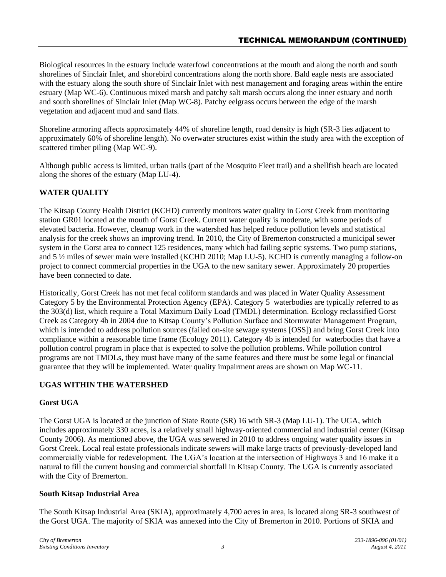Biological resources in the estuary include waterfowl concentrations at the mouth and along the north and south shorelines of Sinclair Inlet, and shorebird concentrations along the north shore. Bald eagle nests are associated with the estuary along the south shore of Sinclair Inlet with nest management and foraging areas within the entire estuary (Map WC-6). Continuous mixed marsh and patchy salt marsh occurs along the inner estuary and north and south shorelines of Sinclair Inlet (Map WC-8). Patchy eelgrass occurs between the edge of the marsh vegetation and adjacent mud and sand flats.

Shoreline armoring affects approximately 44% of shoreline length, road density is high (SR-3 lies adjacent to approximately 60% of shoreline length). No overwater structures exist within the study area with the exception of scattered timber piling (Map WC-9).

Although public access is limited, urban trails (part of the Mosquito Fleet trail) and a shellfish beach are located along the shores of the estuary (Map LU-4).

## **WATER QUALITY**

The Kitsap County Health District (KCHD) currently monitors water quality in Gorst Creek from monitoring station GR01 located at the mouth of Gorst Creek. Current water quality is moderate, with some periods of elevated bacteria. However, cleanup work in the watershed has helped reduce pollution levels and statistical analysis for the creek shows an improving trend. In 2010, the City of Bremerton constructed a municipal sewer system in the Gorst area to connect 125 residences, many which had failing septic systems. Two pump stations, and 5 ½ miles of sewer main were installed (KCHD 2010; Map LU-5). KCHD is currently managing a follow-on project to connect commercial properties in the UGA to the new sanitary sewer. Approximately 20 properties have been connected to date.

Historically, Gorst Creek has not met fecal coliform standards and was placed in Water Quality Assessment Category 5 by the Environmental Protection Agency (EPA). Category 5 waterbodies are typically referred to as the 303(d) list, which require a Total Maximum Daily Load (TMDL) determination. Ecology reclassified Gorst Creek as Category 4b in 2004 due to Kitsap County's Pollution Surface and Stormwater Management Program, which is intended to address pollution sources (failed on-site sewage systems [OSS]) and bring Gorst Creek into compliance within a reasonable time frame (Ecology 2011). Category 4b is intended for waterbodies that have a pollution control program in place that is expected to solve the pollution problems. While pollution control programs are not TMDLs, they must have many of the same features and there must be some legal or financial guarantee that they will be implemented. Water quality impairment areas are shown on Map WC-11.

## **UGAS WITHIN THE WATERSHED**

## **Gorst UGA**

The Gorst UGA is located at the junction of State Route (SR) 16 with SR-3 (Map LU-1). The UGA, which includes approximately 330 acres, is a relatively small highway-oriented commercial and industrial center (Kitsap County 2006). As mentioned above, the UGA was sewered in 2010 to address ongoing water quality issues in Gorst Creek. Local real estate professionals indicate sewers will make large tracts of previously-developed land commercially viable for redevelopment. The UGA's location at the intersection of Highways 3 and 16 make it a natural to fill the current housing and commercial shortfall in Kitsap County. The UGA is currently associated with the City of Bremerton.

### **South Kitsap Industrial Area**

The South Kitsap Industrial Area (SKIA), approximately 4,700 acres in area, is located along SR-3 southwest of the Gorst UGA. The majority of SKIA was annexed into the City of Bremerton in 2010. Portions of SKIA and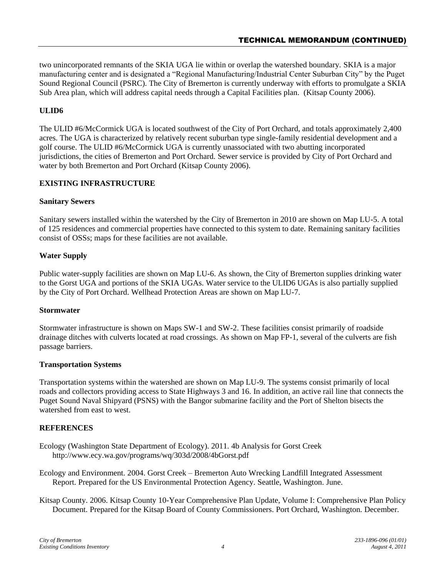two unincorporated remnants of the SKIA UGA lie within or overlap the watershed boundary. SKIA is a major manufacturing center and is designated a "Regional Manufacturing/Industrial Center Suburban City" by the Puget Sound Regional Council (PSRC). The City of Bremerton is currently underway with efforts to promulgate a SKIA Sub Area plan, which will address capital needs through a Capital Facilities plan. (Kitsap County 2006).

## **ULID6**

The ULID #6/McCormick UGA is located southwest of the City of Port Orchard, and totals approximately 2,400 acres. The UGA is characterized by relatively recent suburban type single-family residential development and a golf course. The ULID #6/McCormick UGA is currently unassociated with two abutting incorporated jurisdictions, the cities of Bremerton and Port Orchard. Sewer service is provided by City of Port Orchard and water by both Bremerton and Port Orchard (Kitsap County 2006).

## **EXISTING INFRASTRUCTURE**

### **Sanitary Sewers**

Sanitary sewers installed within the watershed by the City of Bremerton in 2010 are shown on Map LU-5. A total of 125 residences and commercial properties have connected to this system to date. Remaining sanitary facilities consist of OSSs; maps for these facilities are not available.

## **Water Supply**

Public water-supply facilities are shown on Map LU-6. As shown, the City of Bremerton supplies drinking water to the Gorst UGA and portions of the SKIA UGAs. Water service to the ULID6 UGAs is also partially supplied by the City of Port Orchard. Wellhead Protection Areas are shown on Map LU-7.

### **Stormwater**

Stormwater infrastructure is shown on Maps SW-1 and SW-2. These facilities consist primarily of roadside drainage ditches with culverts located at road crossings. As shown on Map FP-1, several of the culverts are fish passage barriers.

### **Transportation Systems**

Transportation systems within the watershed are shown on Map LU-9. The systems consist primarily of local roads and collectors providing access to State Highways 3 and 16. In addition, an active rail line that connects the Puget Sound Naval Shipyard (PSNS) with the Bangor submarine facility and the Port of Shelton bisects the watershed from east to west.

### **REFERENCES**

Ecology (Washington State Department of Ecology). 2011. 4b Analysis for Gorst Creek http://www.ecy.wa.gov/programs/wq/303d/2008/4bGorst.pdf

Ecology and Environment. 2004. Gorst Creek – Bremerton Auto Wrecking Landfill Integrated Assessment Report. Prepared for the US Environmental Protection Agency. Seattle, Washington. June.

Kitsap County. 2006. Kitsap County 10-Year Comprehensive Plan Update, Volume I: Comprehensive Plan Policy Document. Prepared for the Kitsap Board of County Commissioners. Port Orchard, Washington. December.